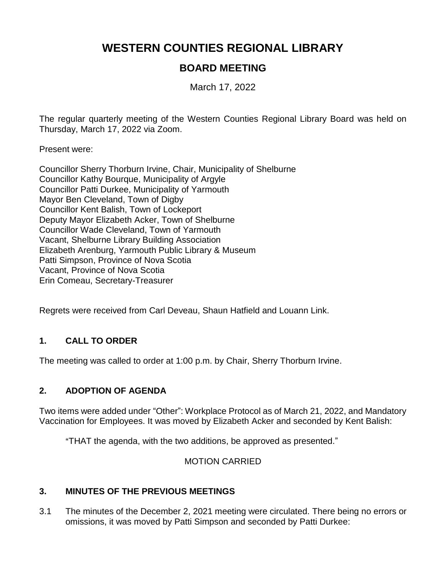# **WESTERN COUNTIES REGIONAL LIBRARY**

# **BOARD MEETING**

March 17, 2022

The regular quarterly meeting of the Western Counties Regional Library Board was held on Thursday, March 17, 2022 via Zoom.

Present were:

Councillor Sherry Thorburn Irvine, Chair, Municipality of Shelburne Councillor Kathy Bourque, Municipality of Argyle Councillor Patti Durkee, Municipality of Yarmouth Mayor Ben Cleveland, Town of Digby Councillor Kent Balish, Town of Lockeport Deputy Mayor Elizabeth Acker, Town of Shelburne Councillor Wade Cleveland, Town of Yarmouth Vacant, Shelburne Library Building Association Elizabeth Arenburg, Yarmouth Public Library & Museum Patti Simpson, Province of Nova Scotia Vacant, Province of Nova Scotia Erin Comeau, Secretary-Treasurer

Regrets were received from Carl Deveau, Shaun Hatfield and Louann Link.

## **1. CALL TO ORDER**

The meeting was called to order at 1:00 p.m. by Chair, Sherry Thorburn Irvine.

#### **2. ADOPTION OF AGENDA**

Two items were added under "Other": Workplace Protocol as of March 21, 2022, and Mandatory Vaccination for Employees. It was moved by Elizabeth Acker and seconded by Kent Balish:

"THAT the agenda, with the two additions, be approved as presented."

#### MOTION CARRIED

#### **3. MINUTES OF THE PREVIOUS MEETINGS**

3.1 The minutes of the December 2, 2021 meeting were circulated. There being no errors or omissions, it was moved by Patti Simpson and seconded by Patti Durkee: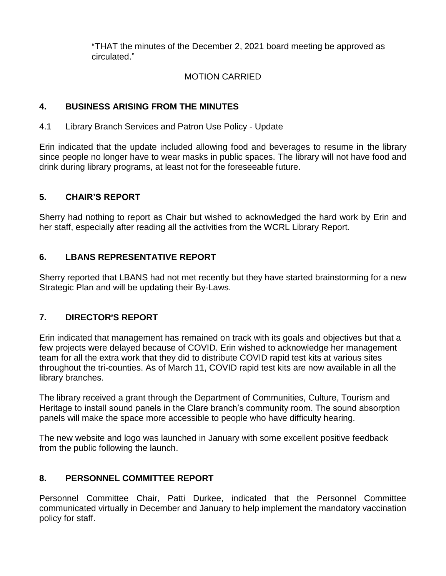"THAT the minutes of the December 2, 2021 board meeting be approved as circulated."

# MOTION CARRIED

# **4. BUSINESS ARISING FROM THE MINUTES**

4.1 Library Branch Services and Patron Use Policy - Update

Erin indicated that the update included allowing food and beverages to resume in the library since people no longer have to wear masks in public spaces. The library will not have food and drink during library programs, at least not for the foreseeable future.

# **5. CHAIR'S REPORT**

Sherry had nothing to report as Chair but wished to acknowledged the hard work by Erin and her staff, especially after reading all the activities from the WCRL Library Report.

# **6. LBANS REPRESENTATIVE REPORT**

Sherry reported that LBANS had not met recently but they have started brainstorming for a new Strategic Plan and will be updating their By-Laws.

# **7. DIRECTOR**=**S REPORT**

Erin indicated that management has remained on track with its goals and objectives but that a few projects were delayed because of COVID. Erin wished to acknowledge her management team for all the extra work that they did to distribute COVID rapid test kits at various sites throughout the tri-counties. As of March 11, COVID rapid test kits are now available in all the library branches.

The library received a grant through the Department of Communities, Culture, Tourism and Heritage to install sound panels in the Clare branch's community room. The sound absorption panels will make the space more accessible to people who have difficulty hearing.

The new website and logo was launched in January with some excellent positive feedback from the public following the launch.

# **8. PERSONNEL COMMITTEE REPORT**

Personnel Committee Chair, Patti Durkee, indicated that the Personnel Committee communicated virtually in December and January to help implement the mandatory vaccination policy for staff.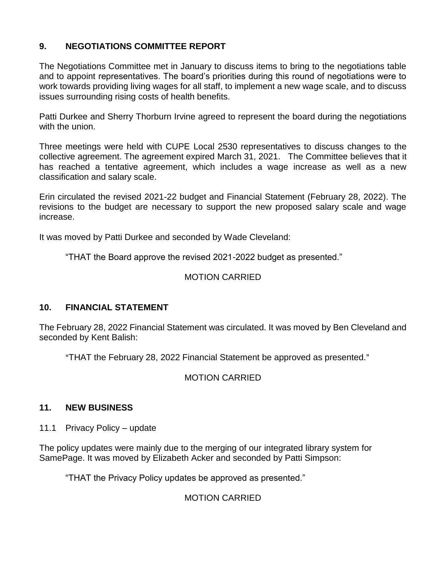## **9. NEGOTIATIONS COMMITTEE REPORT**

The Negotiations Committee met in January to discuss items to bring to the negotiations table and to appoint representatives. The board's priorities during this round of negotiations were to work towards providing living wages for all staff, to implement a new wage scale, and to discuss issues surrounding rising costs of health benefits.

Patti Durkee and Sherry Thorburn Irvine agreed to represent the board during the negotiations with the union.

Three meetings were held with CUPE Local 2530 representatives to discuss changes to the collective agreement. The agreement expired March 31, 2021. The Committee believes that it has reached a tentative agreement, which includes a wage increase as well as a new classification and salary scale.

Erin circulated the revised 2021-22 budget and Financial Statement (February 28, 2022). The revisions to the budget are necessary to support the new proposed salary scale and wage increase.

It was moved by Patti Durkee and seconded by Wade Cleveland:

"THAT the Board approve the revised 2021-2022 budget as presented."

# MOTION CARRIED

## **10. FINANCIAL STATEMENT**

The February 28, 2022 Financial Statement was circulated. It was moved by Ben Cleveland and seconded by Kent Balish:

"THAT the February 28, 2022 Financial Statement be approved as presented."

## MOTION CARRIED

#### **11. NEW BUSINESS**

11.1 Privacy Policy – update

The policy updates were mainly due to the merging of our integrated library system for SamePage. It was moved by Elizabeth Acker and seconded by Patti Simpson:

"THAT the Privacy Policy updates be approved as presented."

# MOTION CARRIED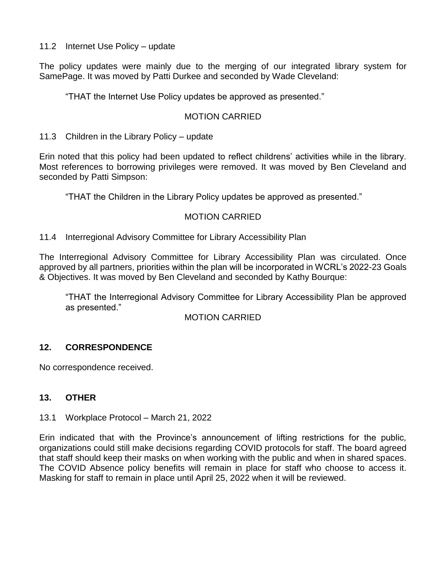11.2 Internet Use Policy – update

The policy updates were mainly due to the merging of our integrated library system for SamePage. It was moved by Patti Durkee and seconded by Wade Cleveland:

"THAT the Internet Use Policy updates be approved as presented."

#### MOTION CARRIED

11.3 Children in the Library Policy – update

Erin noted that this policy had been updated to reflect childrens' activities while in the library. Most references to borrowing privileges were removed. It was moved by Ben Cleveland and seconded by Patti Simpson:

"THAT the Children in the Library Policy updates be approved as presented."

## MOTION CARRIED

#### 11.4 Interregional Advisory Committee for Library Accessibility Plan

The Interregional Advisory Committee for Library Accessibility Plan was circulated. Once approved by all partners, priorities within the plan will be incorporated in WCRL's 2022-23 Goals & Objectives. It was moved by Ben Cleveland and seconded by Kathy Bourque:

"THAT the Interregional Advisory Committee for Library Accessibility Plan be approved as presented."

#### MOTION CARRIED

## **12. CORRESPONDENCE**

No correspondence received.

## **13. OTHER**

#### 13.1 Workplace Protocol – March 21, 2022

Erin indicated that with the Province's announcement of lifting restrictions for the public, organizations could still make decisions regarding COVID protocols for staff. The board agreed that staff should keep their masks on when working with the public and when in shared spaces. The COVID Absence policy benefits will remain in place for staff who choose to access it. Masking for staff to remain in place until April 25, 2022 when it will be reviewed.